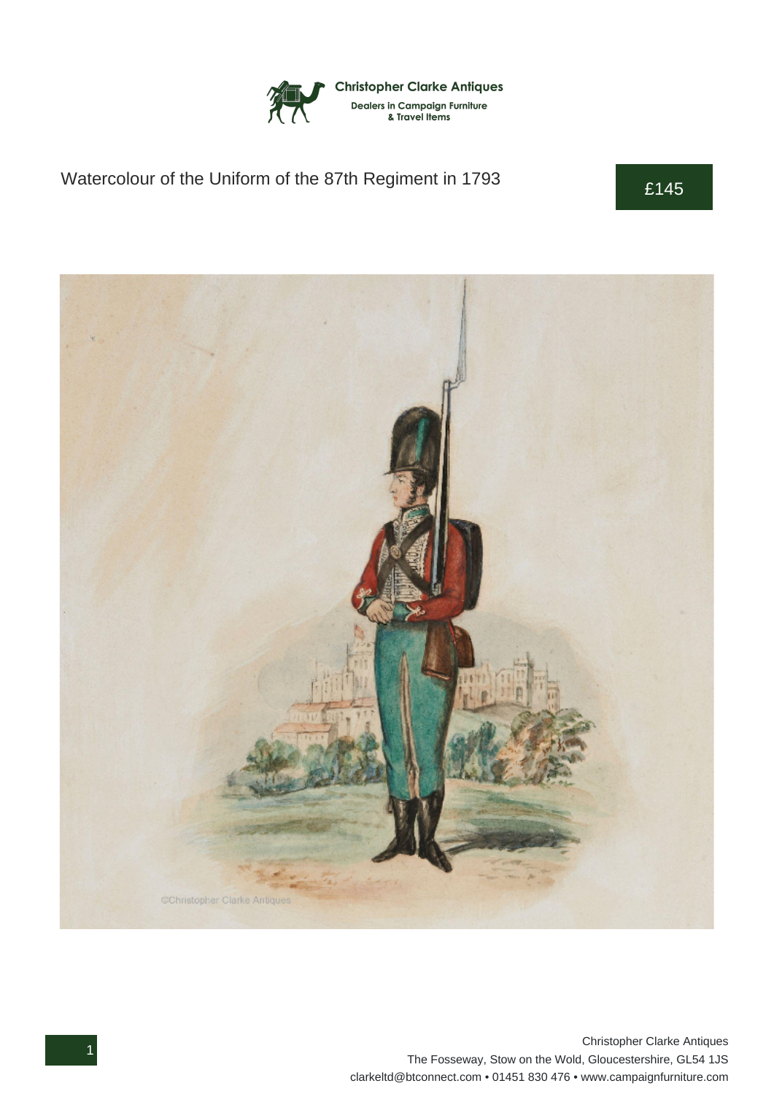

## Watercolour of the Uniform of the 87th Regiment in 1793